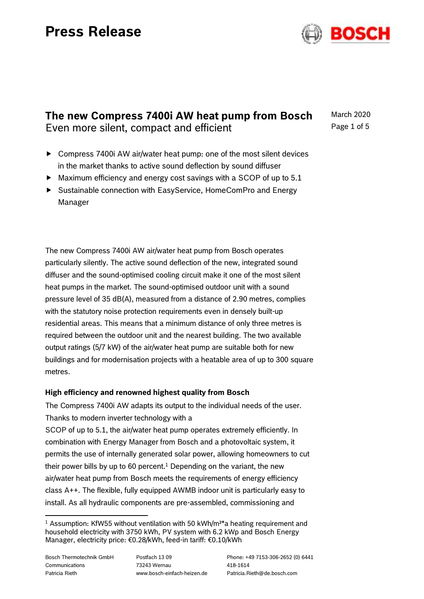

# **The new Compress 7400i AW heat pump from Bosch** Even more silent, compact and efficient

March 2020 Page 1 of 5

- ▶ Compress 7400 AW air/water heat pump: one of the most silent devices in the market thanks to active sound deflection by sound diffuser
- $\blacktriangleright$  Maximum efficiency and energy cost savings with a SCOP of up to 5.1
- Sustainable connection with EasyService, HomeComPro and Energy Manager

The new Compress 7400i AW air/water heat pump from Bosch operates particularly silently. The active sound deflection of the new, integrated sound diffuser and the sound-optimised cooling circuit make it one of the most silent heat pumps in the market. The sound-optimised outdoor unit with a sound pressure level of 35 dB(A), measured from a distance of 2.90 metres, complies with the statutory noise protection requirements even in densely built-up residential areas. This means that a minimum distance of only three metres is required between the outdoor unit and the nearest building. The two available output ratings (5/7 kW) of the air/water heat pump are suitable both for new buildings and for modernisation projects with a heatable area of up to 300 square metres.

# **High efficiency and renowned highest quality from Bosch**

The Compress 7400i AW adapts its output to the individual needs of the user. Thanks to modern inverter technology with a

SCOP of up to 5.1, the air/water heat pump operates extremely efficiently. In combination with Energy Manager from Bosch and a photovoltaic system, it permits the use of internally generated solar power, allowing homeowners to cut their power bills by up to 60 percent.<sup>1</sup> Depending on the variant, the new air/water heat pump from Bosch meets the requirements of energy efficiency class A++. The flexible, fully equipped AWMB indoor unit is particularly easy to install. As all hydraulic components are pre-assembled, commissioning and

ı

<sup>&</sup>lt;sup>1</sup> Assumption: KfW55 without ventilation with 50 kWh/m<sup>2\*</sup>a heating requirement and household electricity with 3750 kWh, PV system with 6.2 kWp and Bosch Energy Manager, electricity price: €0.28/kWh, feed-in tariff: €0.10/kWh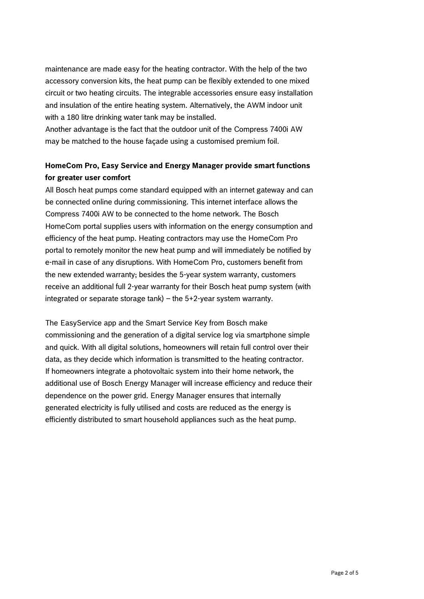maintenance are made easy for the heating contractor. With the help of the two accessory conversion kits, the heat pump can be flexibly extended to one mixed circuit or two heating circuits. The integrable accessories ensure easy installation and insulation of the entire heating system. Alternatively, the AWM indoor unit with a 180 litre drinking water tank may be installed.

Another advantage is the fact that the outdoor unit of the Compress 7400i AW may be matched to the house façade using a customised premium foil.

# **HomeCom Pro, Easy Service and Energy Manager provide smart functions for greater user comfort**

All Bosch heat pumps come standard equipped with an internet gateway and can be connected online during commissioning. This internet interface allows the Compress 7400i AW to be connected to the home network. The Bosch HomeCom portal supplies users with information on the energy consumption and efficiency of the heat pump. Heating contractors may use the HomeCom Pro portal to remotely monitor the new heat pump and will immediately be notified by e-mail in case of any disruptions. With HomeCom Pro, customers benefit from the new extended warranty; besides the 5-year system warranty, customers receive an additional full 2-year warranty for their Bosch heat pump system (with integrated or separate storage tank) – the 5+2-year system warranty.

The EasyService app and the Smart Service Key from Bosch make commissioning and the generation of a digital service log via smartphone simple and quick. With all digital solutions, homeowners will retain full control over their data, as they decide which information is transmitted to the heating contractor. If homeowners integrate a photovoltaic system into their home network, the additional use of Bosch Energy Manager will increase efficiency and reduce their dependence on the power grid. Energy Manager ensures that internally generated electricity is fully utilised and costs are reduced as the energy is efficiently distributed to smart household appliances such as the heat pump.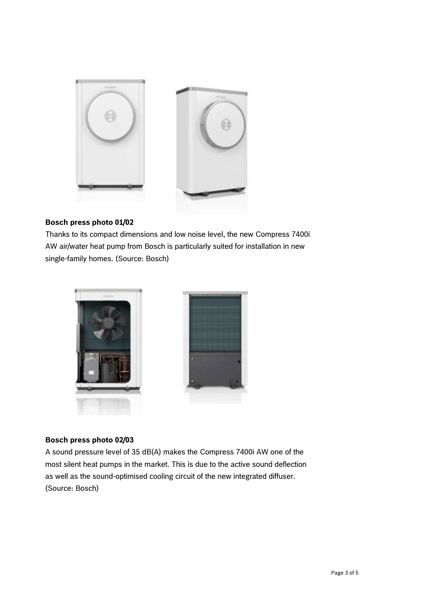

### **Bosch press photo 01/02**

Thanks to its compact dimensions and low noise level, the new Compress 7400i AW air/water heat pump from Bosch is particularly suited for installation in new single-family homes. (Source: Bosch)



### **Bosch press photo 02/03**

A sound pressure level of 35 dB(A) makes the Compress 7400i AW one of the most silent heat pumps in the market. This is due to the active sound deflection as well as the sound-optimised cooling circuit of the new integrated diffuser. (Source: Bosch)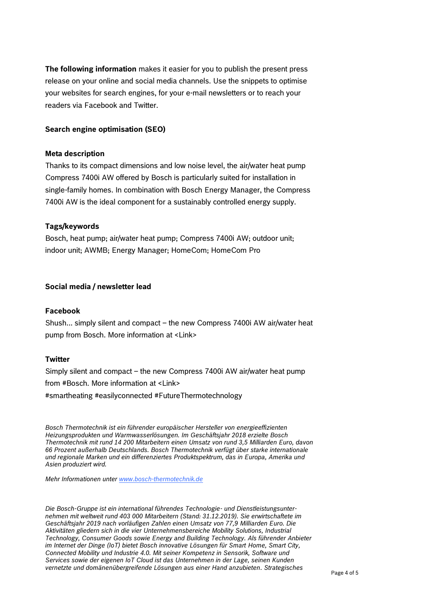**The following information** makes it easier for you to publish the present press release on your online and social media channels. Use the snippets to optimise your websites for search engines, for your e-mail newsletters or to reach your readers via Facebook and Twitter.

#### **Search engine optimisation (SEO)**

#### **Meta description**

Thanks to its compact dimensions and low noise level, the air/water heat pump Compress 7400i AW offered by Bosch is particularly suited for installation in single-family homes. In combination with Bosch Energy Manager, the Compress 7400i AW is the ideal component for a sustainably controlled energy supply.

#### **Tags/keywords**

Bosch, heat pump; air/water heat pump; Compress 7400i AW; outdoor unit; indoor unit; AWMB; Energy Manager; HomeCom; HomeCom Pro

#### **Social media / newsletter lead**

#### **Facebook**

Shush... simply silent and compact – the new Compress 7400i AW air/water heat pump from Bosch. More information at <Link>

#### **Twitter**

Simply silent and compact – the new Compress 7400i AW air/water heat pump from #Bosch. More information at <Link> #smartheating #easilyconnected #FutureThermotechnology

*Bosch Thermotechnik ist ein führender europäischer Hersteller von energieeffizienten Heizungsprodukten und Warmwasserlösungen. Im Geschäftsjahr 2018 erzielte Bosch Thermotechnik mit rund 14 200 Mitarbeitern einen Umsatz von rund 3,5 Milliarden Euro, davon 66 Prozent außerhalb Deutschlands. Bosch Thermotechnik verfügt über starke internationale und regionale Marken und ein differenziertes Produktspektrum, das in Europa, Amerika und Asien produziert wird.*

*Mehr Informationen unter [www.bosch-thermotechnik.de](http://www.bosch-thermotechnik.de/)*

*Die Bosch-Gruppe ist ein international führendes Technologie- und Dienstleistungsunternehmen mit weltweit rund 403 000 Mitarbeitern (Stand: 31.12.2019). Sie erwirtschaftete im Geschäftsjahr 2019 nach vorläufigen Zahlen einen Umsatz von 77,9 Milliarden Euro. Die Aktivitäten gliedern sich in die vier Unternehmensbereiche Mobility Solutions, Industrial Technology, Consumer Goods sowie Energy and Building Technology. Als führender Anbieter im Internet der Dinge (IoT) bietet Bosch innovative Lösungen für Smart Home, Smart City, Connected Mobility und Industrie 4.0. Mit seiner Kompetenz in Sensorik, Software und Services sowie der eigenen IoT Cloud ist das Unternehmen in der Lage, seinen Kunden vernetzte und domänenübergreifende Lösungen aus einer Hand anzubieten. Strategisches*